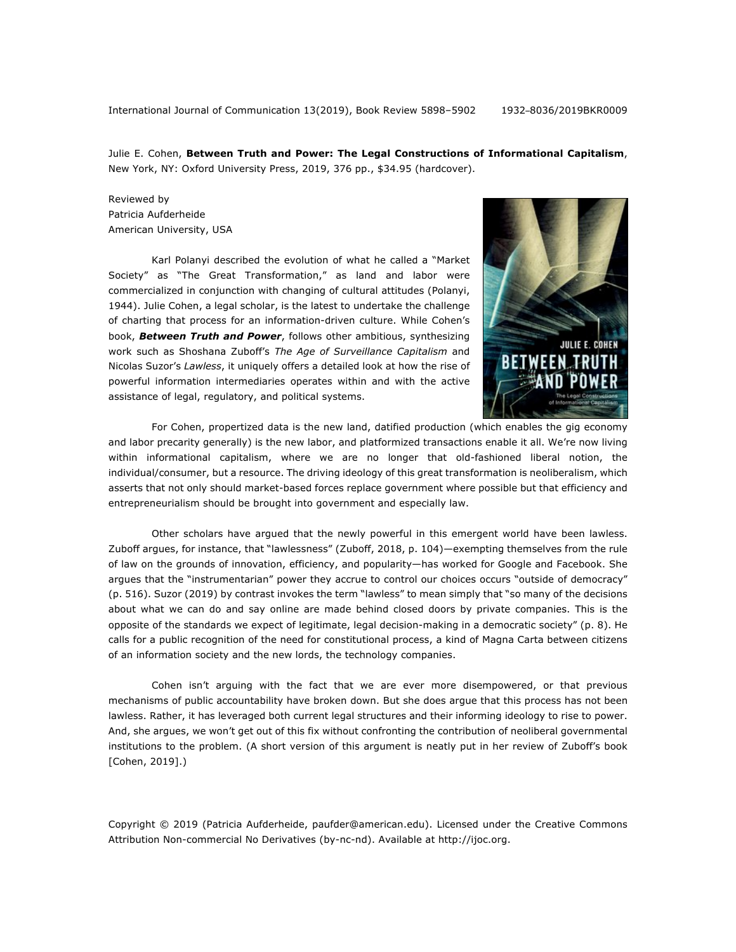Julie E. Cohen, **Between Truth and Power: The Legal Constructions of Informational Capitalism**, New York, NY: Oxford University Press, 2019, 376 pp., \$34.95 (hardcover).

Reviewed by Patricia Aufderheide American University, USA

Karl Polanyi described the evolution of what he called a "Market Society" as "The Great Transformation," as land and labor were commercialized in conjunction with changing of cultural attitudes (Polanyi, 1944). Julie Cohen, a legal scholar, is the latest to undertake the challenge of charting that process for an information-driven culture. While Cohen's book, *Between Truth and Power*, follows other ambitious, synthesizing work such as Shoshana Zuboff's *The Age of Surveillance Capitalism* and Nicolas Suzor's *Lawless*, it uniquely offers a detailed look at how the rise of powerful information intermediaries operates within and with the active assistance of legal, regulatory, and political systems.



For Cohen, propertized data is the new land, datified production (which enables the gig economy and labor precarity generally) is the new labor, and platformized transactions enable it all. We're now living within informational capitalism, where we are no longer that old-fashioned liberal notion, the individual/consumer, but a resource. The driving ideology of this great transformation is neoliberalism, which asserts that not only should market-based forces replace government where possible but that efficiency and entrepreneurialism should be brought into government and especially law.

Other scholars have argued that the newly powerful in this emergent world have been lawless. Zuboff argues, for instance, that "lawlessness" (Zuboff, 2018, p. 104)—exempting themselves from the rule of law on the grounds of innovation, efficiency, and popularity—has worked for Google and Facebook. She argues that the "instrumentarian" power they accrue to control our choices occurs "outside of democracy" (p. 516). Suzor (2019) by contrast invokes the term "lawless" to mean simply that "so many of the decisions about what we can do and say online are made behind closed doors by private companies. This is the opposite of the standards we expect of legitimate, legal decision-making in a democratic society" (p. 8). He calls for a public recognition of the need for constitutional process, a kind of Magna Carta between citizens of an information society and the new lords, the technology companies.

Cohen isn't arguing with the fact that we are ever more disempowered, or that previous mechanisms of public accountability have broken down. But she does argue that this process has not been lawless. Rather, it has leveraged both current legal structures and their informing ideology to rise to power. And, she argues, we won't get out of this fix without confronting the contribution of neoliberal governmental institutions to the problem. (A short version of this argument is neatly put in her review of Zuboff's book [Cohen, 2019].)

Copyright © 2019 (Patricia Aufderheide, paufder@american.edu). Licensed under the Creative Commons Attribution Non-commercial No Derivatives (by-nc-nd). Available at http://ijoc.org.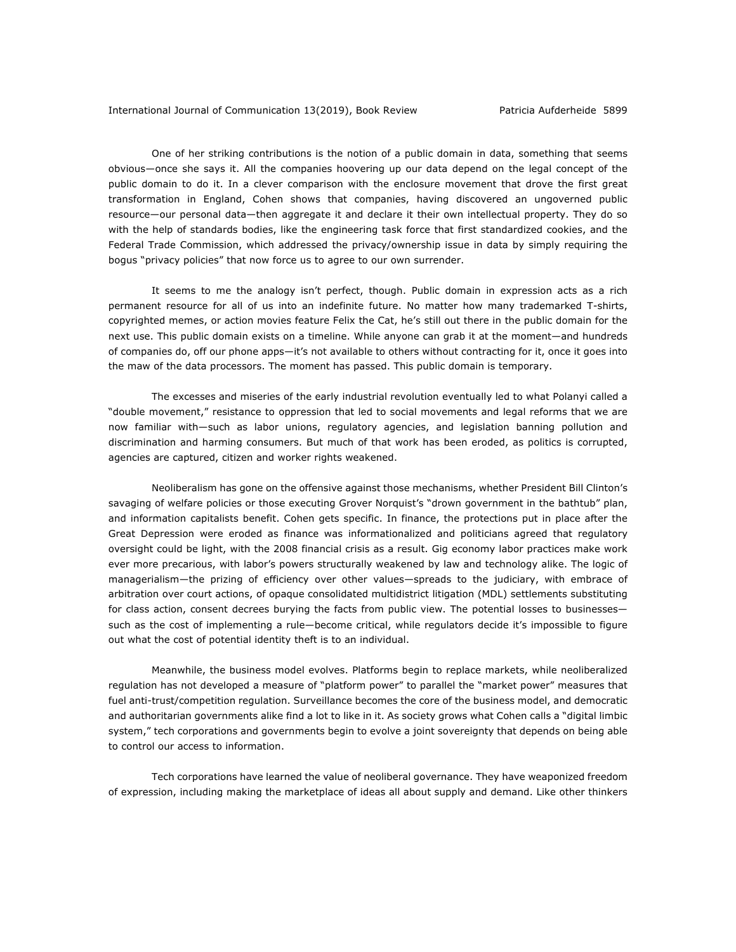One of her striking contributions is the notion of a public domain in data, something that seems obvious—once she says it. All the companies hoovering up our data depend on the legal concept of the public domain to do it. In a clever comparison with the enclosure movement that drove the first great transformation in England, Cohen shows that companies, having discovered an ungoverned public resource—our personal data—then aggregate it and declare it their own intellectual property. They do so with the help of standards bodies, like the engineering task force that first standardized cookies, and the Federal Trade Commission, which addressed the privacy/ownership issue in data by simply requiring the bogus "privacy policies" that now force us to agree to our own surrender.

It seems to me the analogy isn't perfect, though. Public domain in expression acts as a rich permanent resource for all of us into an indefinite future. No matter how many trademarked T-shirts, copyrighted memes, or action movies feature Felix the Cat, he's still out there in the public domain for the next use. This public domain exists on a timeline. While anyone can grab it at the moment—and hundreds of companies do, off our phone apps—it's not available to others without contracting for it, once it goes into the maw of the data processors. The moment has passed. This public domain is temporary.

The excesses and miseries of the early industrial revolution eventually led to what Polanyi called a "double movement," resistance to oppression that led to social movements and legal reforms that we are now familiar with—such as labor unions, regulatory agencies, and legislation banning pollution and discrimination and harming consumers. But much of that work has been eroded, as politics is corrupted, agencies are captured, citizen and worker rights weakened.

Neoliberalism has gone on the offensive against those mechanisms, whether President Bill Clinton's savaging of welfare policies or those executing Grover Norquist's "drown government in the bathtub" plan, and information capitalists benefit. Cohen gets specific. In finance, the protections put in place after the Great Depression were eroded as finance was informationalized and politicians agreed that regulatory oversight could be light, with the 2008 financial crisis as a result. Gig economy labor practices make work ever more precarious, with labor's powers structurally weakened by law and technology alike. The logic of managerialism—the prizing of efficiency over other values—spreads to the judiciary, with embrace of arbitration over court actions, of opaque consolidated multidistrict litigation (MDL) settlements substituting for class action, consent decrees burying the facts from public view. The potential losses to businesses such as the cost of implementing a rule—become critical, while regulators decide it's impossible to figure out what the cost of potential identity theft is to an individual.

Meanwhile, the business model evolves. Platforms begin to replace markets, while neoliberalized regulation has not developed a measure of "platform power" to parallel the "market power" measures that fuel anti-trust/competition regulation. Surveillance becomes the core of the business model, and democratic and authoritarian governments alike find a lot to like in it. As society grows what Cohen calls a "digital limbic system," tech corporations and governments begin to evolve a joint sovereignty that depends on being able to control our access to information.

Tech corporations have learned the value of neoliberal governance. They have weaponized freedom of expression, including making the marketplace of ideas all about supply and demand. Like other thinkers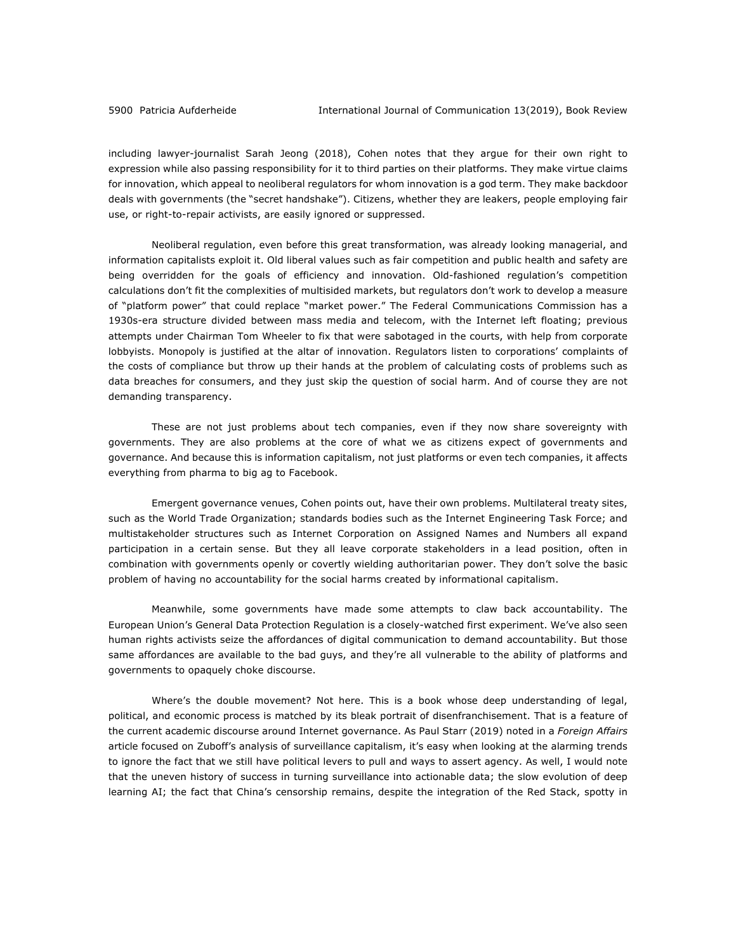including lawyer-journalist Sarah Jeong (2018), Cohen notes that they argue for their own right to expression while also passing responsibility for it to third parties on their platforms. They make virtue claims for innovation, which appeal to neoliberal regulators for whom innovation is a god term. They make backdoor deals with governments (the "secret handshake"). Citizens, whether they are leakers, people employing fair use, or right-to-repair activists, are easily ignored or suppressed.

Neoliberal regulation, even before this great transformation, was already looking managerial, and information capitalists exploit it. Old liberal values such as fair competition and public health and safety are being overridden for the goals of efficiency and innovation. Old-fashioned regulation's competition calculations don't fit the complexities of multisided markets, but regulators don't work to develop a measure of "platform power" that could replace "market power." The Federal Communications Commission has a 1930s-era structure divided between mass media and telecom, with the Internet left floating; previous attempts under Chairman Tom Wheeler to fix that were sabotaged in the courts, with help from corporate lobbyists. Monopoly is justified at the altar of innovation. Regulators listen to corporations' complaints of the costs of compliance but throw up their hands at the problem of calculating costs of problems such as data breaches for consumers, and they just skip the question of social harm. And of course they are not demanding transparency.

These are not just problems about tech companies, even if they now share sovereignty with governments. They are also problems at the core of what we as citizens expect of governments and governance. And because this is information capitalism, not just platforms or even tech companies, it affects everything from pharma to big ag to Facebook.

Emergent governance venues, Cohen points out, have their own problems. Multilateral treaty sites, such as the World Trade Organization; standards bodies such as the Internet Engineering Task Force; and multistakeholder structures such as Internet Corporation on Assigned Names and Numbers all expand participation in a certain sense. But they all leave corporate stakeholders in a lead position, often in combination with governments openly or covertly wielding authoritarian power. They don't solve the basic problem of having no accountability for the social harms created by informational capitalism.

Meanwhile, some governments have made some attempts to claw back accountability. The European Union's General Data Protection Regulation is a closely-watched first experiment. We've also seen human rights activists seize the affordances of digital communication to demand accountability. But those same affordances are available to the bad guys, and they're all vulnerable to the ability of platforms and governments to opaquely choke discourse.

Where's the double movement? Not here. This is a book whose deep understanding of legal, political, and economic process is matched by its bleak portrait of disenfranchisement. That is a feature of the current academic discourse around Internet governance. As Paul Starr (2019) noted in a *Foreign Affairs* article focused on Zuboff's analysis of surveillance capitalism, it's easy when looking at the alarming trends to ignore the fact that we still have political levers to pull and ways to assert agency. As well, I would note that the uneven history of success in turning surveillance into actionable data; the slow evolution of deep learning AI; the fact that China's censorship remains, despite the integration of the Red Stack, spotty in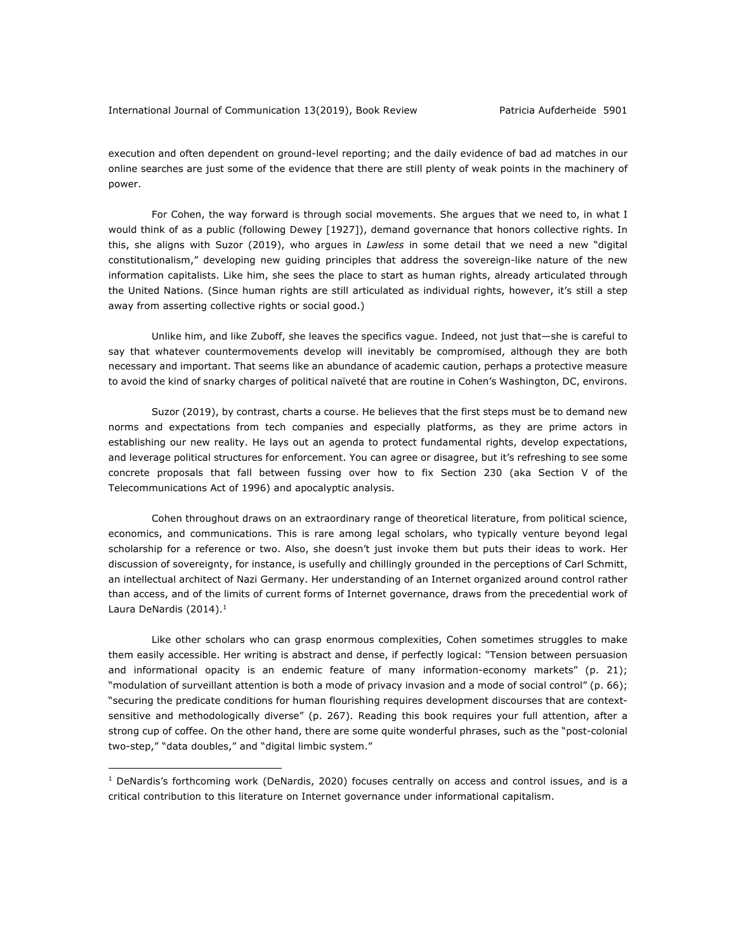execution and often dependent on ground-level reporting; and the daily evidence of bad ad matches in our online searches are just some of the evidence that there are still plenty of weak points in the machinery of power.

For Cohen, the way forward is through social movements. She argues that we need to, in what I would think of as a public (following Dewey [1927]), demand governance that honors collective rights. In this, she aligns with Suzor (2019), who argues in *Lawless* in some detail that we need a new "digital constitutionalism," developing new guiding principles that address the sovereign-like nature of the new information capitalists. Like him, she sees the place to start as human rights, already articulated through the United Nations. (Since human rights are still articulated as individual rights, however, it's still a step away from asserting collective rights or social good.)

Unlike him, and like Zuboff, she leaves the specifics vague. Indeed, not just that—she is careful to say that whatever countermovements develop will inevitably be compromised, although they are both necessary and important. That seems like an abundance of academic caution, perhaps a protective measure to avoid the kind of snarky charges of political naïveté that are routine in Cohen's Washington, DC, environs.

Suzor (2019), by contrast, charts a course. He believes that the first steps must be to demand new norms and expectations from tech companies and especially platforms, as they are prime actors in establishing our new reality. He lays out an agenda to protect fundamental rights, develop expectations, and leverage political structures for enforcement. You can agree or disagree, but it's refreshing to see some concrete proposals that fall between fussing over how to fix Section 230 (aka Section V of the Telecommunications Act of 1996) and apocalyptic analysis.

Cohen throughout draws on an extraordinary range of theoretical literature, from political science, economics, and communications. This is rare among legal scholars, who typically venture beyond legal scholarship for a reference or two. Also, she doesn't just invoke them but puts their ideas to work. Her discussion of sovereignty, for instance, is usefully and chillingly grounded in the perceptions of Carl Schmitt, an intellectual architect of Nazi Germany. Her understanding of an Internet organized around control rather than access, and of the limits of current forms of Internet governance, draws from the precedential work of Laura DeNardis (2014).<sup>1</sup>

Like other scholars who can grasp enormous complexities, Cohen sometimes struggles to make them easily accessible. Her writing is abstract and dense, if perfectly logical: "Tension between persuasion and informational opacity is an endemic feature of many information-economy markets" (p. 21); "modulation of surveillant attention is both a mode of privacy invasion and a mode of social control" (p. 66); "securing the predicate conditions for human flourishing requires development discourses that are contextsensitive and methodologically diverse" (p. 267). Reading this book requires your full attention, after a strong cup of coffee. On the other hand, there are some quite wonderful phrases, such as the "post-colonial two-step," "data doubles," and "digital limbic system."

 $<sup>1</sup>$  DeNardis's forthcoming work (DeNardis, 2020) focuses centrally on access and control issues, and is a</sup> critical contribution to this literature on Internet governance under informational capitalism.